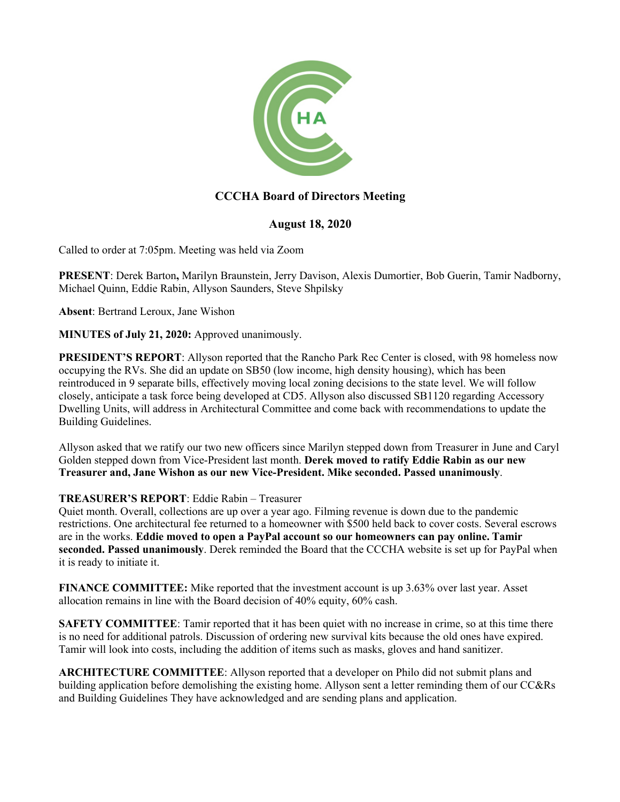

# **CCCHA Board of Directors Meeting**

## **August 18, 2020**

Called to order at 7:05pm. Meeting was held via Zoom

**PRESENT**: Derek Barton**,** Marilyn Braunstein, Jerry Davison, Alexis Dumortier, Bob Guerin, Tamir Nadborny, Michael Quinn, Eddie Rabin, Allyson Saunders, Steve Shpilsky

**Absent**: Bertrand Leroux, Jane Wishon

**MINUTES of July 21, 2020:** Approved unanimously.

**PRESIDENT'S REPORT:** Allyson reported that the Rancho Park Rec Center is closed, with 98 homeless now occupying the RVs. She did an update on SB50 (low income, high density housing), which has been reintroduced in 9 separate bills, effectively moving local zoning decisions to the state level. We will follow closely, anticipate a task force being developed at CD5. Allyson also discussed SB1120 regarding Accessory Dwelling Units, will address in Architectural Committee and come back with recommendations to update the Building Guidelines.

Allyson asked that we ratify our two new officers since Marilyn stepped down from Treasurer in June and Caryl Golden stepped down from Vice-President last month. **Derek moved to ratify Eddie Rabin as our new Treasurer and, Jane Wishon as our new Vice-President. Mike seconded. Passed unanimously**.

#### **TREASURER'S REPORT**: Eddie Rabin – Treasurer

Quiet month. Overall, collections are up over a year ago. Filming revenue is down due to the pandemic restrictions. One architectural fee returned to a homeowner with \$500 held back to cover costs. Several escrows are in the works. **Eddie moved to open a PayPal account so our homeowners can pay online. Tamir seconded. Passed unanimously**. Derek reminded the Board that the CCCHA website is set up for PayPal when it is ready to initiate it.

**FINANCE COMMITTEE:** Mike reported that the investment account is up 3.63% over last year. Asset allocation remains in line with the Board decision of 40% equity, 60% cash.

**SAFETY COMMITTEE**: Tamir reported that it has been quiet with no increase in crime, so at this time there is no need for additional patrols. Discussion of ordering new survival kits because the old ones have expired. Tamir will look into costs, including the addition of items such as masks, gloves and hand sanitizer.

**ARCHITECTURE COMMITTEE**: Allyson reported that a developer on Philo did not submit plans and building application before demolishing the existing home. Allyson sent a letter reminding them of our CC&Rs and Building Guidelines They have acknowledged and are sending plans and application.